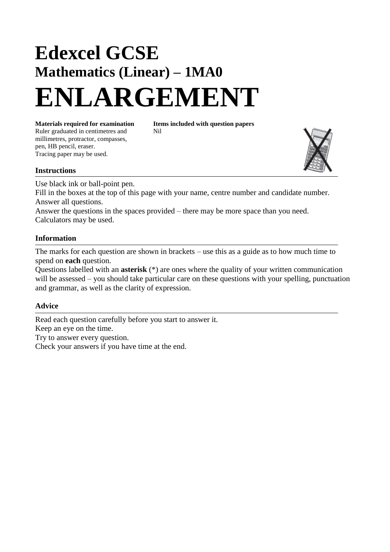# **Edexcel GCSE Mathematics (Linear) – 1MA0 ENLARGEMENT**

Ruler graduated in centimetres and Nil millimetres, protractor, compasses, pen, HB pencil, eraser. Tracing paper may be used.

**Materials required for examination Items included with question papers**

### **Instructions**

Use black ink or ball-point pen. Fill in the boxes at the top of this page with your name, centre number and candidate number. Answer all questions.

Answer the questions in the spaces provided – there may be more space than you need. Calculators may be used.

#### **Information**

The marks for each question are shown in brackets – use this as a guide as to how much time to spend on **each** question.

Questions labelled with an **asterisk** (\*) are ones where the quality of your written communication will be assessed – you should take particular care on these questions with your spelling, punctuation and grammar, as well as the clarity of expression.

#### **Advice**

Read each question carefully before you start to answer it. Keep an eye on the time. Try to answer every question. Check your answers if you have time at the end.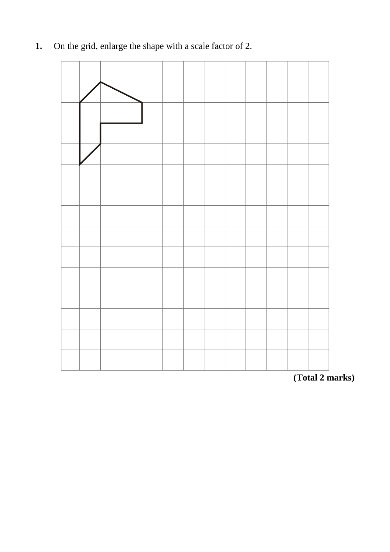## **1.** On the grid, enlarge the shape with a scale factor of 2.

**(Total 2 marks)**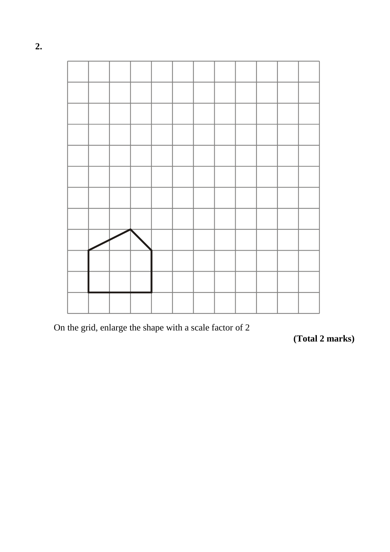

On the grid, enlarge the shape with a scale factor of 2

**(Total 2 marks)**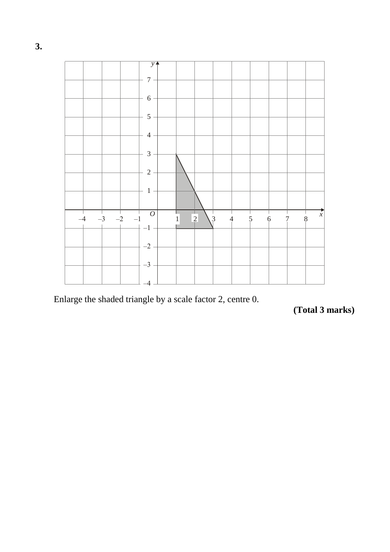

Enlarge the shaded triangle by a scale factor 2, centre 0.

```
(Total 3 marks)
```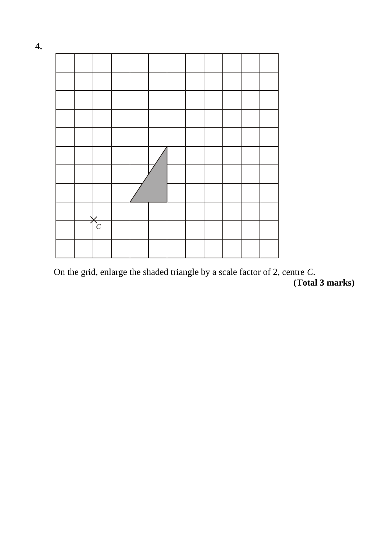|  | C |  |  |  |  |  |
|--|---|--|--|--|--|--|
|  |   |  |  |  |  |  |

On the grid, enlarge the shaded triangle by a scale factor of 2, centre *C*. **(Total 3 marks)**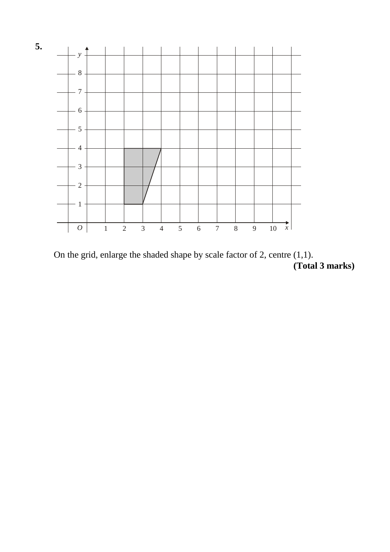

On the grid, enlarge the shaded shape by scale factor of 2, centre (1,1). **(Total 3 marks)**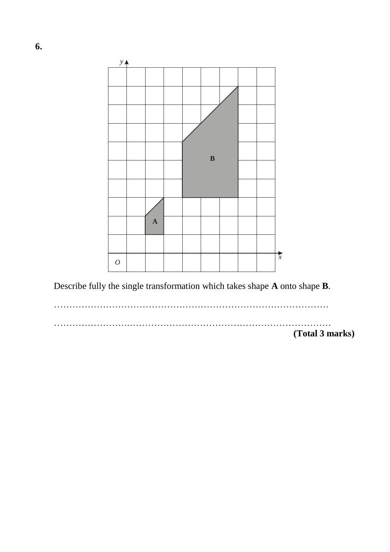

Describe fully the single transformation which takes shape **A** onto shape **B**.

………………………………………………………………………………

…………………….………………………………………………………… **(Total 3 marks)**